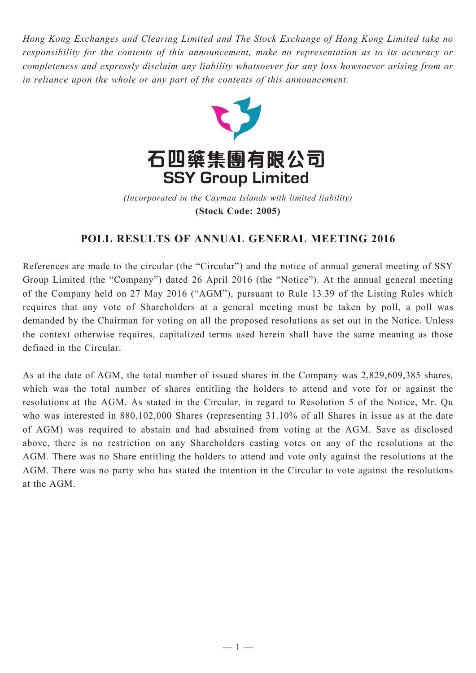*Hong Kong Exchanges and Clearing Limited and The Stock Exchange of Hong Kong Limited take no responsibility for the contents of this announcement, make no representation as to its accuracy or completeness and expressly disclaim any liability whatsoever for any loss howsoever arising from or in reliance upon the whole or any part of the contents of this announcement.*



(Incorporated in the Cayman Islands with limited liability) **(Stock Code: 2005)** *(Incorporated in the Cayman Islands with limited liability)* **(Stock Code: 2005)**

## **POLL RESULTS OF ANNUAL GENERAL MEETING 2016**

References are made to the circular (the "Circular") and the notice of annual general meeting of SSY Group Limited (the "Company") dated 26 April 2016 (the "Notice"). At the annual general meeting of the Company held on 27 May 2016 ("AGM"), pursuant to Rule 13.39 of the Listing Rules which requires that any vote of Shareholders at a general meeting must be taken by poll, a poll was demanded by the Chairman for voting on all the proposed resolutions as set out in the Notice. Unless the context otherwise requires, capitalized terms used herein shall have the same meaning as those defined in the Circular.

As at the date of AGM, the total number of issued shares in the Company was 2,829,609,385 shares, which was the total number of shares entitling the holders to attend and vote for or against the resolutions at the AGM. As stated in the Circular, in regard to Resolution 5 of the Notice, Mr. Qu who was interested in 880,102,000 Shares (representing 31.10% of all Shares in issue as at the date of AGM) was required to abstain and had abstained from voting at the AGM. Save as disclosed above, there is no restriction on any Shareholders casting votes on any of the resolutions at the AGM. There was no Share entitling the holders to attend and vote only against the resolutions at the AGM. There was no party who has stated the intention in the Circular to vote against the resolutions at the AGM.